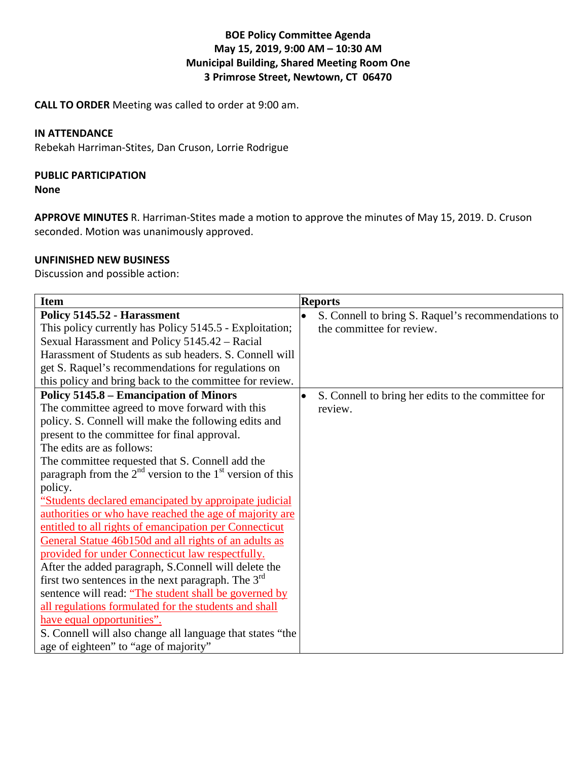### **BOE Policy Committee Agenda May 15, 2019, 9:00 AM – 10:30 AM Municipal Building, Shared Meeting Room One 3 Primrose Street, Newtown, CT 06470**

**CALL TO ORDER** Meeting was called to order at 9:00 am.

#### **IN ATTENDANCE**

Rebekah Harriman-Stites, Dan Cruson, Lorrie Rodrigue

# **PUBLIC PARTICIPATION**

**None**

**APPROVE MINUTES** R. Harriman-Stites made a motion to approve the minutes of May 15, 2019. D. Cruson seconded. Motion was unanimously approved.

#### **UNFINISHED NEW BUSINESS**

Discussion and possible action:

| <b>Item</b>                                                   | <b>Reports</b>                                     |
|---------------------------------------------------------------|----------------------------------------------------|
| Policy 5145.52 - Harassment                                   | S. Connell to bring S. Raquel's recommendations to |
| This policy currently has Policy 5145.5 - Exploitation;       | the committee for review.                          |
| Sexual Harassment and Policy 5145.42 - Racial                 |                                                    |
| Harassment of Students as sub headers. S. Connell will        |                                                    |
| get S. Raquel's recommendations for regulations on            |                                                    |
| this policy and bring back to the committee for review.       |                                                    |
| Policy 5145.8 – Emancipation of Minors                        | S. Connell to bring her edits to the committee for |
| The committee agreed to move forward with this                | review.                                            |
| policy. S. Connell will make the following edits and          |                                                    |
| present to the committee for final approval.                  |                                                    |
| The edits are as follows:                                     |                                                    |
| The committee requested that S. Connell add the               |                                                    |
| paragraph from the $2nd$ version to the $1st$ version of this |                                                    |
| policy.                                                       |                                                    |
| "Students declared emancipated by approipate judicial         |                                                    |
| authorities or who have reached the age of majority are       |                                                    |
| entitled to all rights of emancipation per Connecticut        |                                                    |
| General Statue 46b150d and all rights of an adults as         |                                                    |
| provided for under Connecticut law respectfully.              |                                                    |
| After the added paragraph, S.Connell will delete the          |                                                    |
| first two sentences in the next paragraph. The $3^{rd}$       |                                                    |
| sentence will read: "The student shall be governed by         |                                                    |
| all regulations formulated for the students and shall         |                                                    |
| have equal opportunities".                                    |                                                    |
| S. Connell will also change all language that states "the     |                                                    |
| age of eighteen" to "age of majority"                         |                                                    |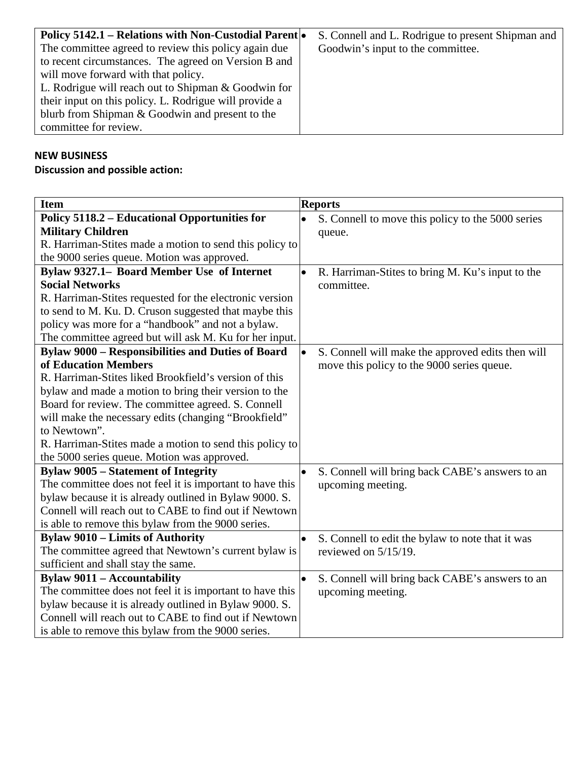| <b>Policy 5142.1 – Relations with Non-Custodial Parent</b> | S. Connell and L. Rodrigue to present Shipman and |
|------------------------------------------------------------|---------------------------------------------------|
| The committee agreed to review this policy again due       | Goodwin's input to the committee.                 |
| to recent circumstances. The agreed on Version B and       |                                                   |
| will move forward with that policy.                        |                                                   |
| L. Rodrigue will reach out to Shipman & Goodwin for        |                                                   |
| their input on this policy. L. Rodrigue will provide a     |                                                   |
| blurb from Shipman & Goodwin and present to the            |                                                   |
| committee for review.                                      |                                                   |

# **NEW BUSINESS**

**Discussion and possible action:** 

| <b>Item</b>                                              | <b>Reports</b>                                                 |
|----------------------------------------------------------|----------------------------------------------------------------|
| Policy 5118.2 – Educational Opportunities for            | S. Connell to move this policy to the 5000 series              |
| <b>Military Children</b>                                 | queue.                                                         |
| R. Harriman-Stites made a motion to send this policy to  |                                                                |
| the 9000 series queue. Motion was approved.              |                                                                |
| Bylaw 9327.1- Board Member Use of Internet               | R. Harriman-Stites to bring M. Ku's input to the<br>$\bullet$  |
| <b>Social Networks</b>                                   | committee.                                                     |
| R. Harriman-Stites requested for the electronic version  |                                                                |
| to send to M. Ku. D. Cruson suggested that maybe this    |                                                                |
| policy was more for a "handbook" and not a bylaw.        |                                                                |
| The committee agreed but will ask M. Ku for her input.   |                                                                |
| <b>Bylaw 9000 – Responsibilities and Duties of Board</b> | $\bullet$<br>S. Connell will make the approved edits then will |
| of Education Members                                     | move this policy to the 9000 series queue.                     |
| R. Harriman-Stites liked Brookfield's version of this    |                                                                |
| bylaw and made a motion to bring their version to the    |                                                                |
| Board for review. The committee agreed. S. Connell       |                                                                |
| will make the necessary edits (changing "Brookfield"     |                                                                |
| to Newtown".                                             |                                                                |
| R. Harriman-Stites made a motion to send this policy to  |                                                                |
| the 5000 series queue. Motion was approved.              |                                                                |
| <b>Bylaw 9005 - Statement of Integrity</b>               | S. Connell will bring back CABE's answers to an                |
| The committee does not feel it is important to have this | upcoming meeting.                                              |
| bylaw because it is already outlined in Bylaw 9000. S.   |                                                                |
| Connell will reach out to CABE to find out if Newtown    |                                                                |
| is able to remove this bylaw from the 9000 series.       |                                                                |
| <b>Bylaw 9010 – Limits of Authority</b>                  | S. Connell to edit the bylaw to note that it was<br>$\bullet$  |
| The committee agreed that Newtown's current bylaw is     | reviewed on $5/15/19$ .                                        |
| sufficient and shall stay the same.                      |                                                                |
| <b>Bylaw 9011 - Accountability</b>                       | S. Connell will bring back CABE's answers to an<br>$\bullet$   |
| The committee does not feel it is important to have this | upcoming meeting.                                              |
| bylaw because it is already outlined in Bylaw 9000. S.   |                                                                |
| Connell will reach out to CABE to find out if Newtown    |                                                                |
| is able to remove this bylaw from the 9000 series.       |                                                                |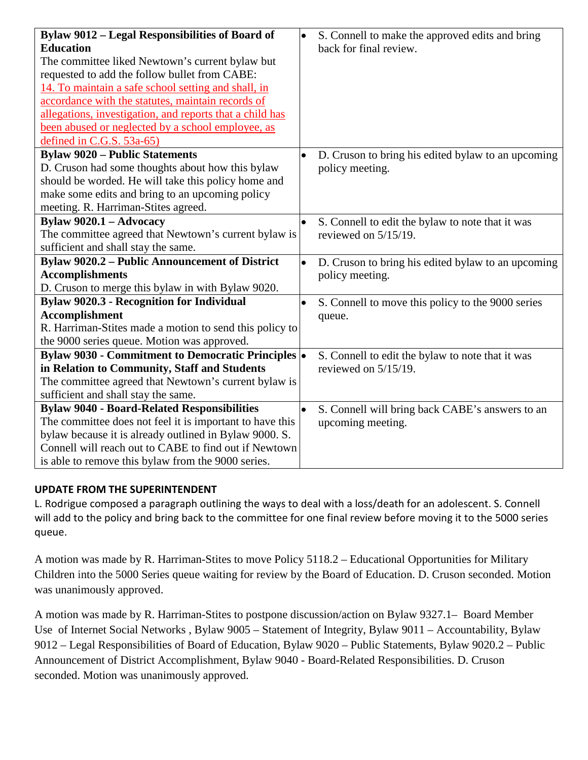| <b>Bylaw 9012 – Legal Responsibilities of Board of</b>    | S. Connell to make the approved edits and bring<br>$\bullet$    |
|-----------------------------------------------------------|-----------------------------------------------------------------|
| <b>Education</b>                                          | back for final review.                                          |
| The committee liked Newtown's current bylaw but           |                                                                 |
| requested to add the follow bullet from CABE:             |                                                                 |
| 14. To maintain a safe school setting and shall, in       |                                                                 |
| accordance with the statutes, maintain records of         |                                                                 |
| allegations, investigation, and reports that a child has  |                                                                 |
| been abused or neglected by a school employee, as         |                                                                 |
| defined in C.G.S. 53a-65)                                 |                                                                 |
| <b>Bylaw 9020 - Public Statements</b>                     | D. Cruson to bring his edited bylaw to an upcoming<br>$\bullet$ |
| D. Cruson had some thoughts about how this bylaw          | policy meeting.                                                 |
| should be worded. He will take this policy home and       |                                                                 |
| make some edits and bring to an upcoming policy           |                                                                 |
| meeting. R. Harriman-Stites agreed.                       |                                                                 |
| Bylaw $9020.1 - Advocacy$                                 | S. Connell to edit the bylaw to note that it was                |
| The committee agreed that Newtown's current bylaw is      | reviewed on $5/15/19$ .                                         |
| sufficient and shall stay the same.                       |                                                                 |
| <b>Bylaw 9020.2 - Public Announcement of District</b>     | D. Cruson to bring his edited bylaw to an upcoming<br>$\bullet$ |
| <b>Accomplishments</b>                                    | policy meeting.                                                 |
| D. Cruson to merge this bylaw in with Bylaw 9020.         |                                                                 |
| <b>Bylaw 9020.3 - Recognition for Individual</b>          | S. Connell to move this policy to the 9000 series<br>$\bullet$  |
| <b>Accomplishment</b>                                     | queue.                                                          |
| R. Harriman-Stites made a motion to send this policy to   |                                                                 |
| the 9000 series queue. Motion was approved.               |                                                                 |
| <b>Bylaw 9030 - Commitment to Democratic Principles .</b> | S. Connell to edit the bylaw to note that it was                |
| in Relation to Community, Staff and Students              | reviewed on $5/15/19$ .                                         |
| The committee agreed that Newtown's current bylaw is      |                                                                 |
| sufficient and shall stay the same.                       |                                                                 |
| <b>Bylaw 9040 - Board-Related Responsibilities</b>        | S. Connell will bring back CABE's answers to an<br>$\bullet$    |
| The committee does not feel it is important to have this  | upcoming meeting.                                               |
| bylaw because it is already outlined in Bylaw 9000. S.    |                                                                 |
| Connell will reach out to CABE to find out if Newtown     |                                                                 |
| is able to remove this bylaw from the 9000 series.        |                                                                 |

## **UPDATE FROM THE SUPERINTENDENT**

L. Rodrigue composed a paragraph outlining the ways to deal with a loss/death for an adolescent. S. Connell will add to the policy and bring back to the committee for one final review before moving it to the 5000 series queue.

A motion was made by R. Harriman-Stites to move Policy 5118.2 – Educational Opportunities for Military Children into the 5000 Series queue waiting for review by the Board of Education. D. Cruson seconded. Motion was unanimously approved.

A motion was made by R. Harriman-Stites to postpone discussion/action on Bylaw 9327.1– Board Member Use of Internet Social Networks , Bylaw 9005 – Statement of Integrity, Bylaw 9011 – Accountability, Bylaw 9012 – Legal Responsibilities of Board of Education, Bylaw 9020 – Public Statements, Bylaw 9020.2 – Public Announcement of District Accomplishment, Bylaw 9040 - Board-Related Responsibilities. D. Cruson seconded. Motion was unanimously approved.